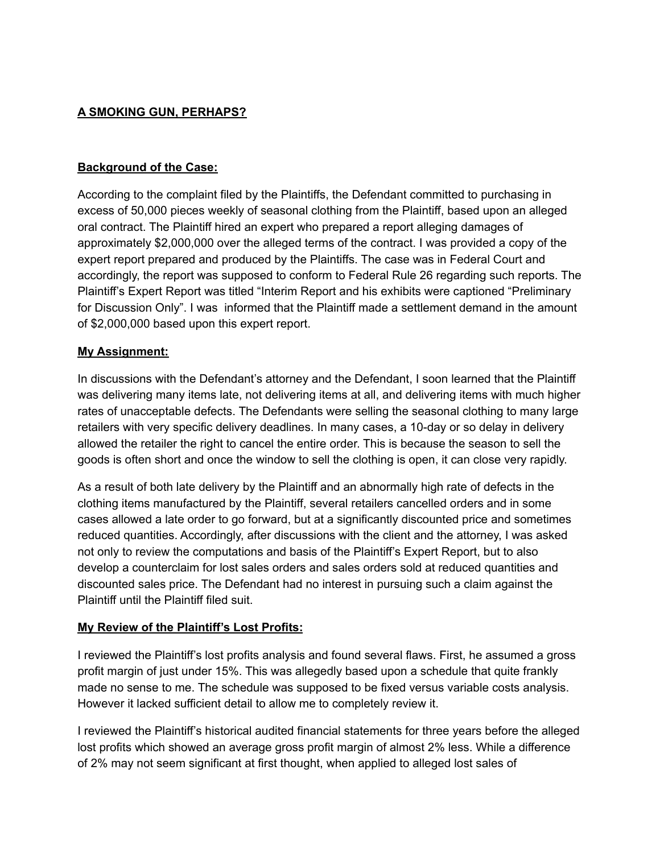# **A SMOKING GUN, PERHAPS?**

#### **Background of the Case:**

According to the complaint filed by the Plaintiffs, the Defendant committed to purchasing in excess of 50,000 pieces weekly of seasonal clothing from the Plaintiff, based upon an alleged oral contract. The Plaintiff hired an expert who prepared a report alleging damages of approximately \$2,000,000 over the alleged terms of the contract. I was provided a copy of the expert report prepared and produced by the Plaintiffs. The case was in Federal Court and accordingly, the report was supposed to conform to Federal Rule 26 regarding such reports. The Plaintiff's Expert Report was titled "Interim Report and his exhibits were captioned "Preliminary for Discussion Only". I was informed that the Plaintiff made a settlement demand in the amount of \$2,000,000 based upon this expert report.

#### **My Assignment:**

In discussions with the Defendant's attorney and the Defendant, I soon learned that the Plaintiff was delivering many items late, not delivering items at all, and delivering items with much higher rates of unacceptable defects. The Defendants were selling the seasonal clothing to many large retailers with very specific delivery deadlines. In many cases, a 10-day or so delay in delivery allowed the retailer the right to cancel the entire order. This is because the season to sell the goods is often short and once the window to sell the clothing is open, it can close very rapidly.

As a result of both late delivery by the Plaintiff and an abnormally high rate of defects in the clothing items manufactured by the Plaintiff, several retailers cancelled orders and in some cases allowed a late order to go forward, but at a significantly discounted price and sometimes reduced quantities. Accordingly, after discussions with the client and the attorney, I was asked not only to review the computations and basis of the Plaintiff's Expert Report, but to also develop a counterclaim for lost sales orders and sales orders sold at reduced quantities and discounted sales price. The Defendant had no interest in pursuing such a claim against the Plaintiff until the Plaintiff filed suit.

### **My Review of the Plaintiff's Lost Profits:**

I reviewed the Plaintiff's lost profits analysis and found several flaws. First, he assumed a gross profit margin of just under 15%. This was allegedly based upon a schedule that quite frankly made no sense to me. The schedule was supposed to be fixed versus variable costs analysis. However it lacked sufficient detail to allow me to completely review it.

I reviewed the Plaintiff's historical audited financial statements for three years before the alleged lost profits which showed an average gross profit margin of almost 2% less. While a difference of 2% may not seem significant at first thought, when applied to alleged lost sales of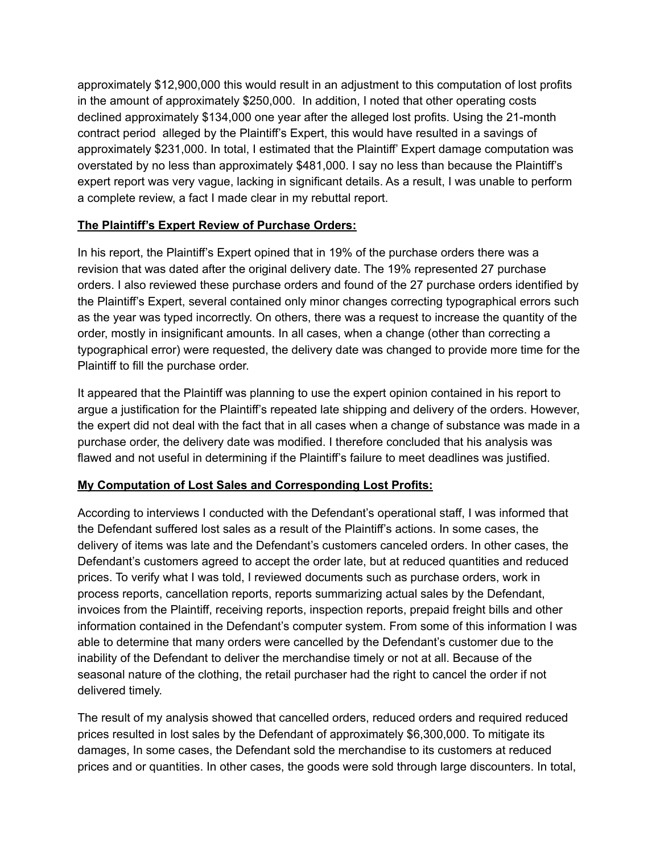approximately \$12,900,000 this would result in an adjustment to this computation of lost profits in the amount of approximately \$250,000. In addition, I noted that other operating costs declined approximately \$134,000 one year after the alleged lost profits. Using the 21-month contract period alleged by the Plaintiff's Expert, this would have resulted in a savings of approximately \$231,000. In total, I estimated that the Plaintiff' Expert damage computation was overstated by no less than approximately \$481,000. I say no less than because the Plaintiff's expert report was very vague, lacking in significant details. As a result, I was unable to perform a complete review, a fact I made clear in my rebuttal report.

# **The Plaintiff's Expert Review of Purchase Orders:**

In his report, the Plaintiff's Expert opined that in 19% of the purchase orders there was a revision that was dated after the original delivery date. The 19% represented 27 purchase orders. I also reviewed these purchase orders and found of the 27 purchase orders identified by the Plaintiff's Expert, several contained only minor changes correcting typographical errors such as the year was typed incorrectly. On others, there was a request to increase the quantity of the order, mostly in insignificant amounts. In all cases, when a change (other than correcting a typographical error) were requested, the delivery date was changed to provide more time for the Plaintiff to fill the purchase order.

It appeared that the Plaintiff was planning to use the expert opinion contained in his report to argue a justification for the Plaintiff's repeated late shipping and delivery of the orders. However, the expert did not deal with the fact that in all cases when a change of substance was made in a purchase order, the delivery date was modified. I therefore concluded that his analysis was flawed and not useful in determining if the Plaintiff's failure to meet deadlines was justified.

### **My Computation of Lost Sales and Corresponding Lost Profits:**

According to interviews I conducted with the Defendant's operational staff, I was informed that the Defendant suffered lost sales as a result of the Plaintiff's actions. In some cases, the delivery of items was late and the Defendant's customers canceled orders. In other cases, the Defendant's customers agreed to accept the order late, but at reduced quantities and reduced prices. To verify what I was told, I reviewed documents such as purchase orders, work in process reports, cancellation reports, reports summarizing actual sales by the Defendant, invoices from the Plaintiff, receiving reports, inspection reports, prepaid freight bills and other information contained in the Defendant's computer system. From some of this information I was able to determine that many orders were cancelled by the Defendant's customer due to the inability of the Defendant to deliver the merchandise timely or not at all. Because of the seasonal nature of the clothing, the retail purchaser had the right to cancel the order if not delivered timely.

The result of my analysis showed that cancelled orders, reduced orders and required reduced prices resulted in lost sales by the Defendant of approximately \$6,300,000. To mitigate its damages, In some cases, the Defendant sold the merchandise to its customers at reduced prices and or quantities. In other cases, the goods were sold through large discounters. In total,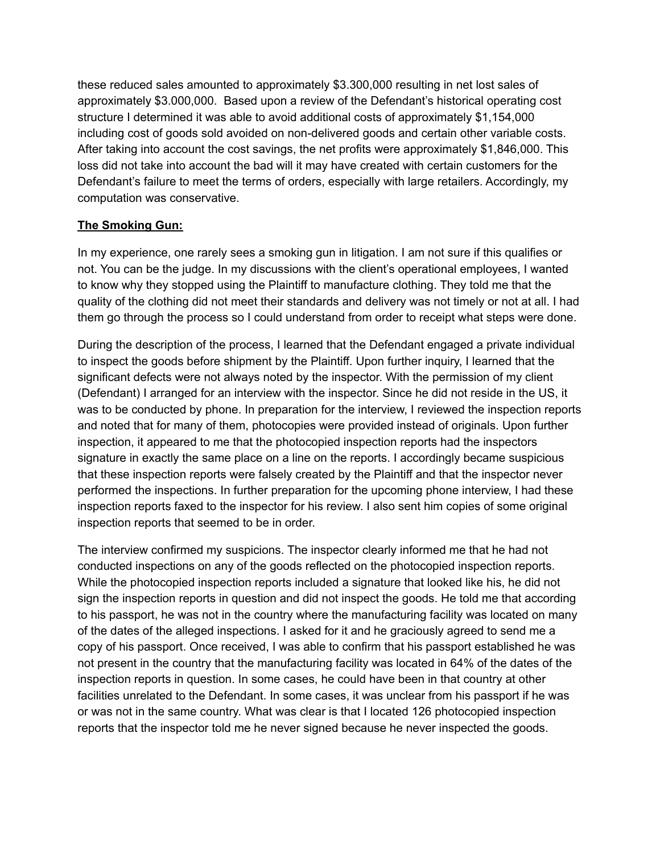these reduced sales amounted to approximately \$3.300,000 resulting in net lost sales of approximately \$3.000,000. Based upon a review of the Defendant's historical operating cost structure I determined it was able to avoid additional costs of approximately \$1,154,000 including cost of goods sold avoided on non-delivered goods and certain other variable costs. After taking into account the cost savings, the net profits were approximately \$1,846,000. This loss did not take into account the bad will it may have created with certain customers for the Defendant's failure to meet the terms of orders, especially with large retailers. Accordingly, my computation was conservative.

# **The Smoking Gun:**

In my experience, one rarely sees a smoking gun in litigation. I am not sure if this qualifies or not. You can be the judge. In my discussions with the client's operational employees, I wanted to know why they stopped using the Plaintiff to manufacture clothing. They told me that the quality of the clothing did not meet their standards and delivery was not timely or not at all. I had them go through the process so I could understand from order to receipt what steps were done.

During the description of the process, I learned that the Defendant engaged a private individual to inspect the goods before shipment by the Plaintiff. Upon further inquiry, I learned that the significant defects were not always noted by the inspector. With the permission of my client (Defendant) I arranged for an interview with the inspector. Since he did not reside in the US, it was to be conducted by phone. In preparation for the interview, I reviewed the inspection reports and noted that for many of them, photocopies were provided instead of originals. Upon further inspection, it appeared to me that the photocopied inspection reports had the inspectors signature in exactly the same place on a line on the reports. I accordingly became suspicious that these inspection reports were falsely created by the Plaintiff and that the inspector never performed the inspections. In further preparation for the upcoming phone interview, I had these inspection reports faxed to the inspector for his review. I also sent him copies of some original inspection reports that seemed to be in order.

The interview confirmed my suspicions. The inspector clearly informed me that he had not conducted inspections on any of the goods reflected on the photocopied inspection reports. While the photocopied inspection reports included a signature that looked like his, he did not sign the inspection reports in question and did not inspect the goods. He told me that according to his passport, he was not in the country where the manufacturing facility was located on many of the dates of the alleged inspections. I asked for it and he graciously agreed to send me a copy of his passport. Once received, I was able to confirm that his passport established he was not present in the country that the manufacturing facility was located in 64% of the dates of the inspection reports in question. In some cases, he could have been in that country at other facilities unrelated to the Defendant. In some cases, it was unclear from his passport if he was or was not in the same country. What was clear is that I located 126 photocopied inspection reports that the inspector told me he never signed because he never inspected the goods.